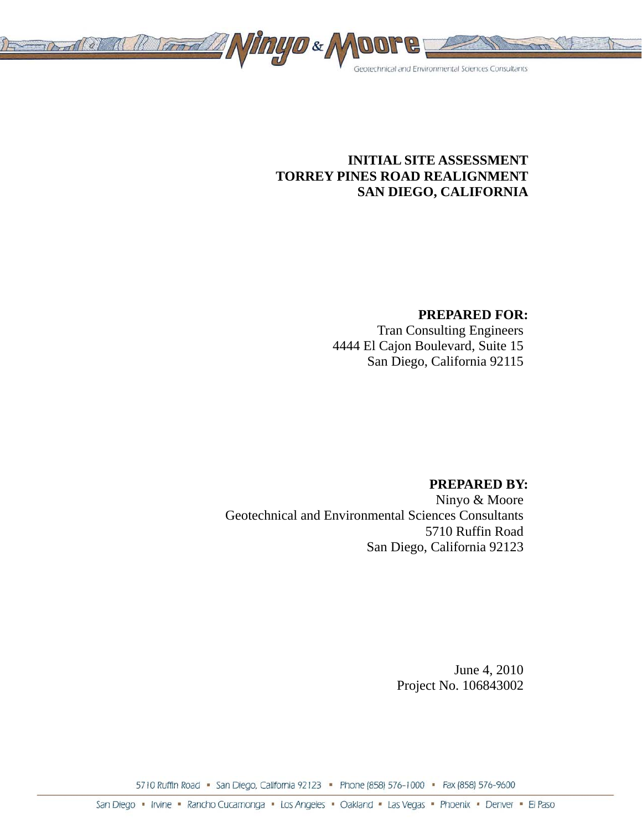

# **INITIAL SITE ASSESSMENT TORREY PINES ROAD REALIGNMENT SAN DIEGO, CALIFORNIA**

## **PREPARED FOR:**

Tran Consulting Engineers 4444 El Cajon Boulevard, Suite 15 San Diego, California 92115

### **PREPARED BY:**

Ninyo & Moore Geotechnical and Environmental Sciences Consultants 5710 Ruffin Road San Diego, California 92123

> June 4, 2010 Project No. 106843002

5710 Ruffin Road • San Diego, California 92123 • Phone (858) 576-1000 • Fax (858) 576-9600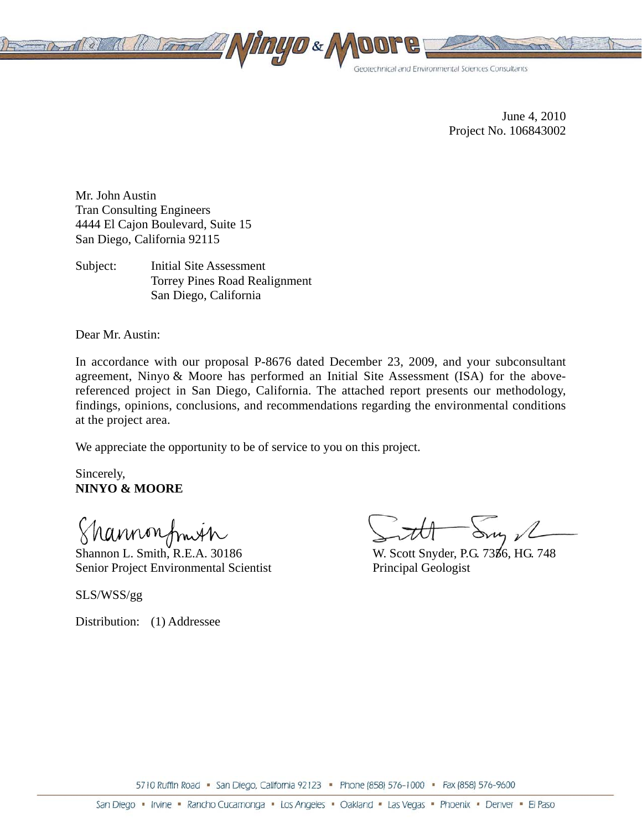

June 4, 2010 Project No. 106843002

Mr. John Austin Tran Consulting Engineers 4444 El Cajon Boulevard, Suite 15 San Diego, California 92115

Subject: Initial Site Assessment Torrey Pines Road Realignment San Diego, California

Dear Mr. Austin:

In accordance with our proposal P-8676 dated December 23, 2009, and your subconsultant agreement, Ninyo & Moore has performed an Initial Site Assessment (ISA) for the abovereferenced project in San Diego, California. The attached report presents our methodology, findings, opinions, conclusions, and recommendations regarding the environmental conditions at the project area.

We appreciate the opportunity to be of service to you on this project.

Sincerely, **NINYO & MOORE** 

Shannonfmin

Shannon L. Smith, R.E.A. 30186 Senior Project Environmental Scientist

SLS/WSS/gg

Distribution: (1) Addressee

Sur 2

W. Scott Snyder, P.G. 7356, HG. 748 Principal Geologist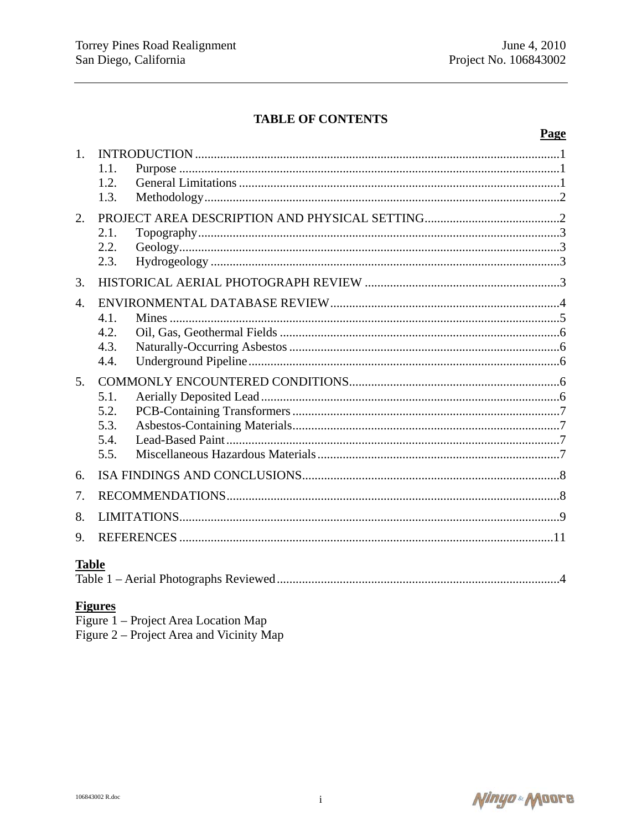# **TABLE OF CONTENTS**

### Page

| 1.               |      |  |  |  |
|------------------|------|--|--|--|
|                  | 1.1. |  |  |  |
|                  | 1.2. |  |  |  |
|                  | 1.3. |  |  |  |
| 2.               |      |  |  |  |
|                  | 2.1. |  |  |  |
|                  | 2.2. |  |  |  |
|                  | 2.3. |  |  |  |
| 3.               |      |  |  |  |
| $\overline{4}$ . |      |  |  |  |
|                  | 4.1. |  |  |  |
|                  | 4.2. |  |  |  |
|                  | 4.3. |  |  |  |
|                  | 4.4. |  |  |  |
| 5.               |      |  |  |  |
|                  | 5.1. |  |  |  |
|                  | 5.2. |  |  |  |
|                  | 5.3. |  |  |  |
|                  | 5.4. |  |  |  |
|                  | 5.5. |  |  |  |
| 6.               |      |  |  |  |
| 7.               |      |  |  |  |
| 8.               |      |  |  |  |
| 9.               |      |  |  |  |
| <b>Table</b>     |      |  |  |  |
|                  |      |  |  |  |

### **Figures**

| Figure 1 – Project Area Location Map     |  |
|------------------------------------------|--|
| Figure 2 – Project Area and Vicinity Map |  |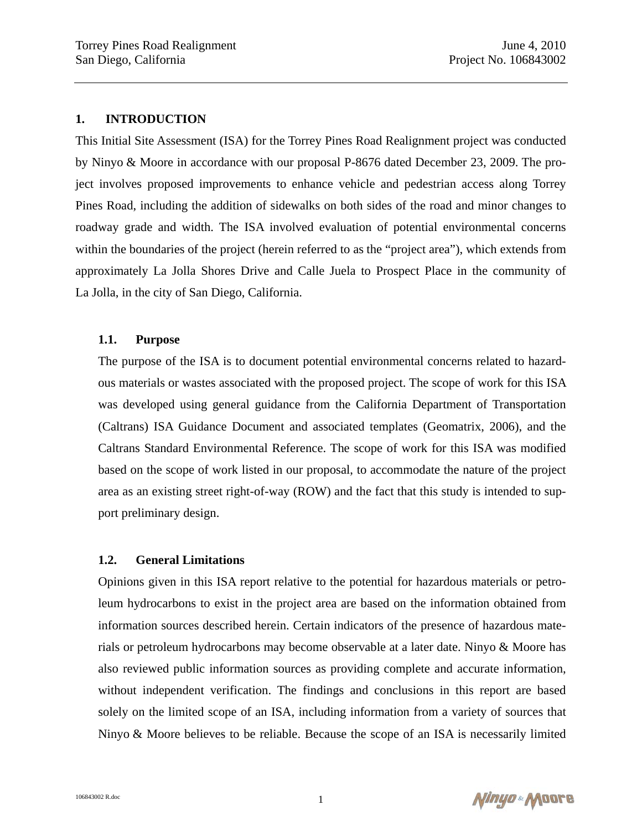#### **1. INTRODUCTION**

This Initial Site Assessment (ISA) for the Torrey Pines Road Realignment project was conducted by Ninyo & Moore in accordance with our proposal P-8676 dated December 23, 2009. The project involves proposed improvements to enhance vehicle and pedestrian access along Torrey Pines Road, including the addition of sidewalks on both sides of the road and minor changes to roadway grade and width. The ISA involved evaluation of potential environmental concerns within the boundaries of the project (herein referred to as the "project area"), which extends from approximately La Jolla Shores Drive and Calle Juela to Prospect Place in the community of La Jolla, in the city of San Diego, California.

#### **1.1. Purpose**

The purpose of the ISA is to document potential environmental concerns related to hazardous materials or wastes associated with the proposed project. The scope of work for this ISA was developed using general guidance from the California Department of Transportation (Caltrans) ISA Guidance Document and associated templates (Geomatrix, 2006), and the Caltrans Standard Environmental Reference. The scope of work for this ISA was modified based on the scope of work listed in our proposal, to accommodate the nature of the project area as an existing street right-of-way (ROW) and the fact that this study is intended to support preliminary design.

#### **1.2. General Limitations**

Opinions given in this ISA report relative to the potential for hazardous materials or petroleum hydrocarbons to exist in the project area are based on the information obtained from information sources described herein. Certain indicators of the presence of hazardous materials or petroleum hydrocarbons may become observable at a later date. Ninyo & Moore has also reviewed public information sources as providing complete and accurate information, without independent verification. The findings and conclusions in this report are based solely on the limited scope of an ISA, including information from a variety of sources that Ninyo & Moore believes to be reliable. Because the scope of an ISA is necessarily limited

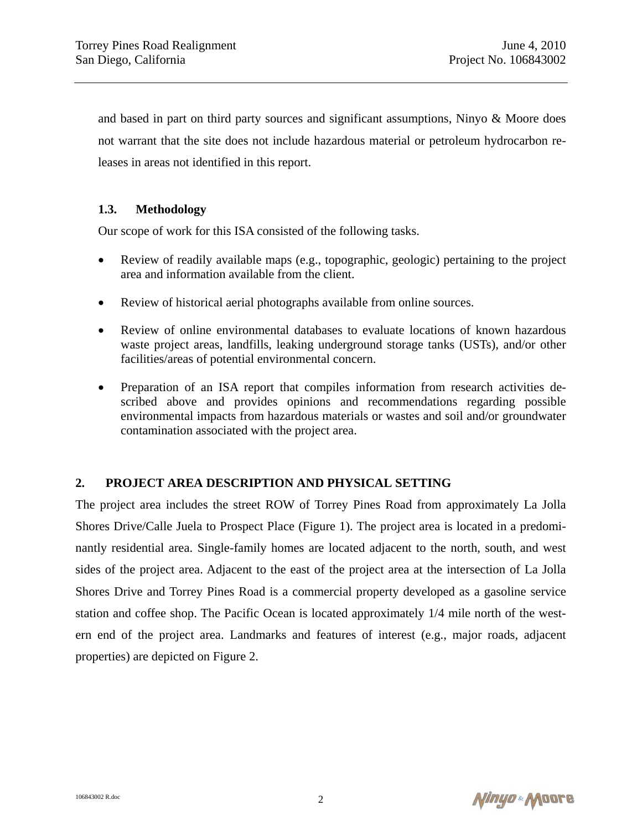and based in part on third party sources and significant assumptions, Ninyo & Moore does not warrant that the site does not include hazardous material or petroleum hydrocarbon releases in areas not identified in this report.

### **1.3. Methodology**

Our scope of work for this ISA consisted of the following tasks.

- Review of readily available maps (e.g., topographic, geologic) pertaining to the project area and information available from the client.
- Review of historical aerial photographs available from online sources.
- Review of online environmental databases to evaluate locations of known hazardous waste project areas, landfills, leaking underground storage tanks (USTs), and/or other facilities/areas of potential environmental concern.
- Preparation of an ISA report that compiles information from research activities described above and provides opinions and recommendations regarding possible environmental impacts from hazardous materials or wastes and soil and/or groundwater contamination associated with the project area.

#### **2. PROJECT AREA DESCRIPTION AND PHYSICAL SETTING**

The project area includes the street ROW of Torrey Pines Road from approximately La Jolla Shores Drive/Calle Juela to Prospect Place (Figure 1). The project area is located in a predominantly residential area. Single-family homes are located adjacent to the north, south, and west sides of the project area. Adjacent to the east of the project area at the intersection of La Jolla Shores Drive and Torrey Pines Road is a commercial property developed as a gasoline service station and coffee shop. The Pacific Ocean is located approximately 1/4 mile north of the western end of the project area. Landmarks and features of interest (e.g., major roads, adjacent properties) are depicted on Figure 2.

Ninyo Moore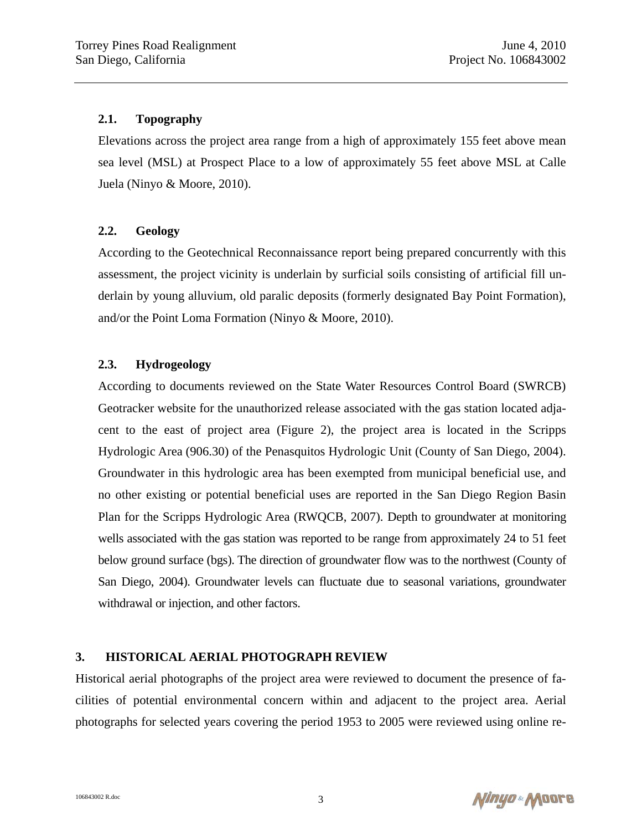### **2.1. Topography**

Elevations across the project area range from a high of approximately 155 feet above mean sea level (MSL) at Prospect Place to a low of approximately 55 feet above MSL at Calle Juela (Ninyo & Moore, 2010).

## **2.2. Geology**

According to the Geotechnical Reconnaissance report being prepared concurrently with this assessment, the project vicinity is underlain by surficial soils consisting of artificial fill underlain by young alluvium, old paralic deposits (formerly designated Bay Point Formation), and/or the Point Loma Formation (Ninyo & Moore, 2010).

## **2.3. Hydrogeology**

According to documents reviewed on the State Water Resources Control Board (SWRCB) Geotracker website for the unauthorized release associated with the gas station located adjacent to the east of project area (Figure 2), the project area is located in the Scripps Hydrologic Area (906.30) of the Penasquitos Hydrologic Unit (County of San Diego, 2004). Groundwater in this hydrologic area has been exempted from municipal beneficial use, and no other existing or potential beneficial uses are reported in the San Diego Region Basin Plan for the Scripps Hydrologic Area (RWQCB, 2007). Depth to groundwater at monitoring wells associated with the gas station was reported to be range from approximately 24 to 51 feet below ground surface (bgs). The direction of groundwater flow was to the northwest (County of San Diego, 2004). Groundwater levels can fluctuate due to seasonal variations, groundwater withdrawal or injection, and other factors.

### **3. HISTORICAL AERIAL PHOTOGRAPH REVIEW**

Historical aerial photographs of the project area were reviewed to document the presence of facilities of potential environmental concern within and adjacent to the project area. Aerial photographs for selected years covering the period 1953 to 2005 were reviewed using online re-

Ninyo « Moore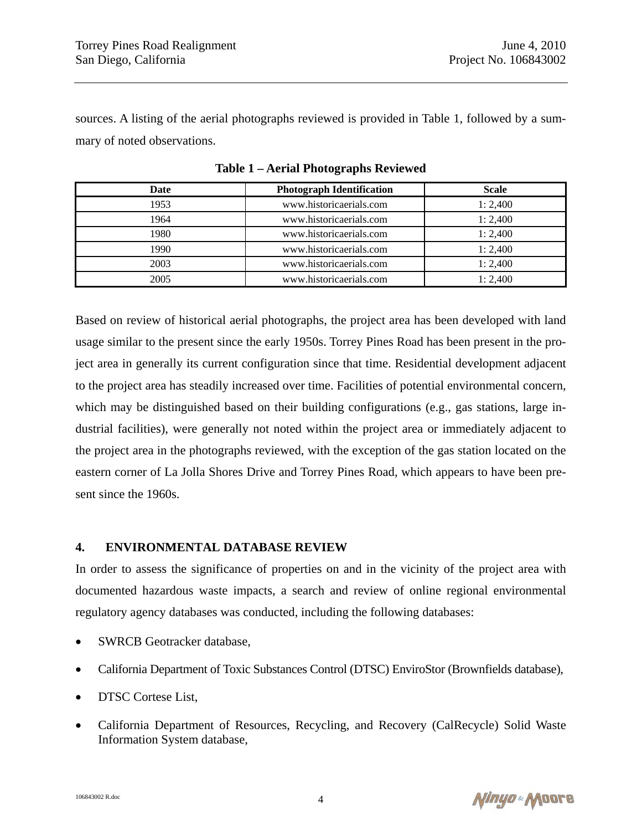sources. A listing of the aerial photographs reviewed is provided in Table 1, followed by a summary of noted observations.

| Date | <b>Photograph Identification</b> | <b>Scale</b> |
|------|----------------------------------|--------------|
| 1953 | www.historicaerials.com          | 1:2,400      |
| 1964 | www.historicaerials.com          | 1:2,400      |
| 1980 | www.historicaerials.com          | 1:2,400      |
| 1990 | www.historicaerials.com          | 1:2,400      |
| 2003 | www.historicaerials.com          | 1:2,400      |
| 2005 | www.historicaerials.com          | 1:2,400      |

**Table 1 – Aerial Photographs Reviewed** 

Based on review of historical aerial photographs, the project area has been developed with land usage similar to the present since the early 1950s. Torrey Pines Road has been present in the project area in generally its current configuration since that time. Residential development adjacent to the project area has steadily increased over time. Facilities of potential environmental concern, which may be distinguished based on their building configurations (e.g., gas stations, large industrial facilities), were generally not noted within the project area or immediately adjacent to the project area in the photographs reviewed, with the exception of the gas station located on the eastern corner of La Jolla Shores Drive and Torrey Pines Road, which appears to have been present since the 1960s.

#### **4. ENVIRONMENTAL DATABASE REVIEW**

In order to assess the significance of properties on and in the vicinity of the project area with documented hazardous waste impacts, a search and review of online regional environmental regulatory agency databases was conducted, including the following databases:

- SWRCB Geotracker database,
- California Department of Toxic Substances Control (DTSC) EnviroStor (Brownfields database),
- DTSC Cortese List,
- California Department of Resources, Recycling, and Recovery (CalRecycle) Solid Waste Information System database,

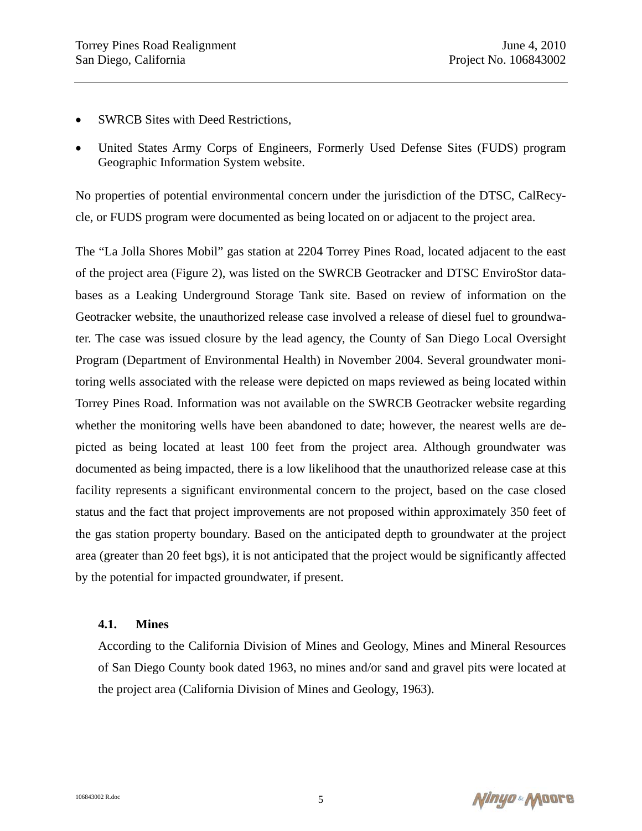- **SWRCB** Sites with Deed Restrictions,
- United States Army Corps of Engineers, Formerly Used Defense Sites (FUDS) program Geographic Information System website.

No properties of potential environmental concern under the jurisdiction of the DTSC, CalRecycle, or FUDS program were documented as being located on or adjacent to the project area.

The "La Jolla Shores Mobil" gas station at 2204 Torrey Pines Road, located adjacent to the east of the project area (Figure 2), was listed on the SWRCB Geotracker and DTSC EnviroStor databases as a Leaking Underground Storage Tank site. Based on review of information on the Geotracker website, the unauthorized release case involved a release of diesel fuel to groundwater. The case was issued closure by the lead agency, the County of San Diego Local Oversight Program (Department of Environmental Health) in November 2004. Several groundwater monitoring wells associated with the release were depicted on maps reviewed as being located within Torrey Pines Road. Information was not available on the SWRCB Geotracker website regarding whether the monitoring wells have been abandoned to date; however, the nearest wells are depicted as being located at least 100 feet from the project area. Although groundwater was documented as being impacted, there is a low likelihood that the unauthorized release case at this facility represents a significant environmental concern to the project, based on the case closed status and the fact that project improvements are not proposed within approximately 350 feet of the gas station property boundary. Based on the anticipated depth to groundwater at the project area (greater than 20 feet bgs), it is not anticipated that the project would be significantly affected by the potential for impacted groundwater, if present.

#### **4.1. Mines**

According to the California Division of Mines and Geology, Mines and Mineral Resources of San Diego County book dated 1963, no mines and/or sand and gravel pits were located at the project area (California Division of Mines and Geology, 1963).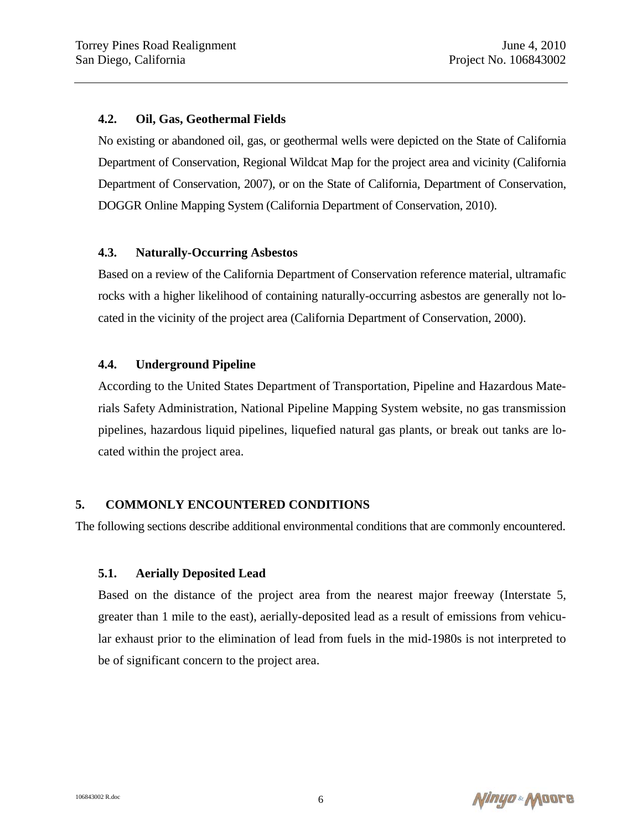#### **4.2. Oil, Gas, Geothermal Fields**

No existing or abandoned oil, gas, or geothermal wells were depicted on the State of California Department of Conservation, Regional Wildcat Map for the project area and vicinity (California Department of Conservation, 2007), or on the State of California, Department of Conservation, DOGGR Online Mapping System (California Department of Conservation, 2010).

#### **4.3. Naturally-Occurring Asbestos**

Based on a review of the California Department of Conservation reference material, ultramafic rocks with a higher likelihood of containing naturally-occurring asbestos are generally not located in the vicinity of the project area (California Department of Conservation, 2000).

#### **4.4. Underground Pipeline**

According to the United States Department of Transportation, Pipeline and Hazardous Materials Safety Administration, National Pipeline Mapping System website, no gas transmission pipelines, hazardous liquid pipelines, liquefied natural gas plants, or break out tanks are located within the project area.

#### **5. COMMONLY ENCOUNTERED CONDITIONS**

The following sections describe additional environmental conditions that are commonly encountered.

#### **5.1. Aerially Deposited Lead**

Based on the distance of the project area from the nearest major freeway (Interstate 5, greater than 1 mile to the east), aerially-deposited lead as a result of emissions from vehicular exhaust prior to the elimination of lead from fuels in the mid-1980s is not interpreted to be of significant concern to the project area.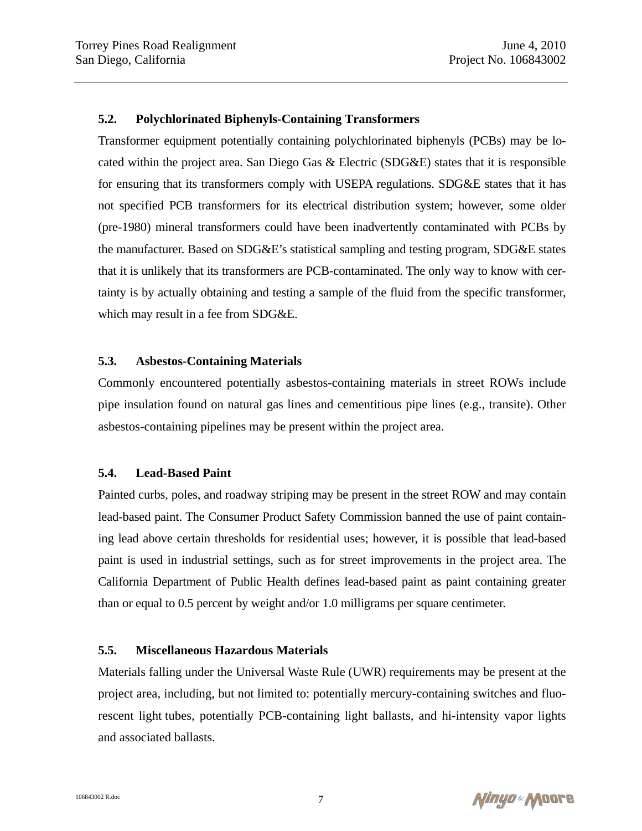#### **5.2. Polychlorinated Biphenyls-Containing Transformers**

Transformer equipment potentially containing polychlorinated biphenyls (PCBs) may be located within the project area. San Diego Gas & Electric (SDG&E) states that it is responsible for ensuring that its transformers comply with USEPA regulations. SDG&E states that it has not specified PCB transformers for its electrical distribution system; however, some older (pre-1980) mineral transformers could have been inadvertently contaminated with PCBs by the manufacturer. Based on SDG&E's statistical sampling and testing program, SDG&E states that it is unlikely that its transformers are PCB-contaminated. The only way to know with certainty is by actually obtaining and testing a sample of the fluid from the specific transformer, which may result in a fee from SDG&E.

#### **5.3. Asbestos-Containing Materials**

Commonly encountered potentially asbestos-containing materials in street ROWs include pipe insulation found on natural gas lines and cementitious pipe lines (e.g., transite). Other asbestos-containing pipelines may be present within the project area.

#### **5.4. Lead-Based Paint**

Painted curbs, poles, and roadway striping may be present in the street ROW and may contain lead-based paint. The Consumer Product Safety Commission banned the use of paint containing lead above certain thresholds for residential uses; however, it is possible that lead-based paint is used in industrial settings, such as for street improvements in the project area. The California Department of Public Health defines lead-based paint as paint containing greater than or equal to 0.5 percent by weight and/or 1.0 milligrams per square centimeter.

#### **5.5. Miscellaneous Hazardous Materials**

Materials falling under the Universal Waste Rule (UWR) requirements may be present at the project area, including, but not limited to: potentially mercury-containing switches and fluorescent light tubes, potentially PCB-containing light ballasts, and hi-intensity vapor lights and associated ballasts.

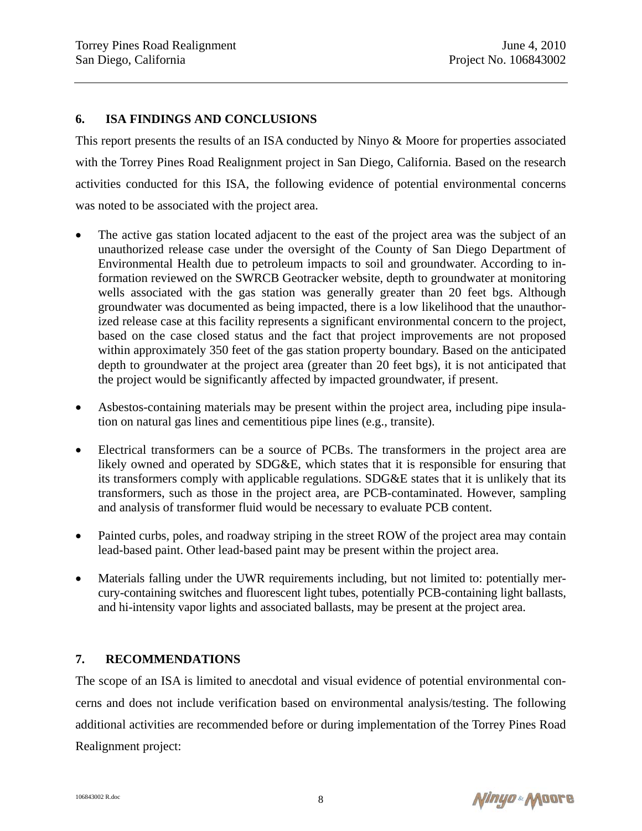### **6. ISA FINDINGS AND CONCLUSIONS**

This report presents the results of an ISA conducted by Ninyo & Moore for properties associated with the Torrey Pines Road Realignment project in San Diego, California. Based on the research activities conducted for this ISA, the following evidence of potential environmental concerns was noted to be associated with the project area.

- The active gas station located adjacent to the east of the project area was the subject of an unauthorized release case under the oversight of the County of San Diego Department of Environmental Health due to petroleum impacts to soil and groundwater. According to information reviewed on the SWRCB Geotracker website, depth to groundwater at monitoring wells associated with the gas station was generally greater than 20 feet bgs. Although groundwater was documented as being impacted, there is a low likelihood that the unauthorized release case at this facility represents a significant environmental concern to the project, based on the case closed status and the fact that project improvements are not proposed within approximately 350 feet of the gas station property boundary. Based on the anticipated depth to groundwater at the project area (greater than 20 feet bgs), it is not anticipated that the project would be significantly affected by impacted groundwater, if present.
- Asbestos-containing materials may be present within the project area, including pipe insulation on natural gas lines and cementitious pipe lines (e.g., transite).
- Electrical transformers can be a source of PCBs. The transformers in the project area are likely owned and operated by SDG&E, which states that it is responsible for ensuring that its transformers comply with applicable regulations. SDG&E states that it is unlikely that its transformers, such as those in the project area, are PCB-contaminated. However, sampling and analysis of transformer fluid would be necessary to evaluate PCB content.
- Painted curbs, poles, and roadway striping in the street ROW of the project area may contain lead-based paint. Other lead-based paint may be present within the project area.
- Materials falling under the UWR requirements including, but not limited to: potentially mercury-containing switches and fluorescent light tubes, potentially PCB-containing light ballasts, and hi-intensity vapor lights and associated ballasts, may be present at the project area.

### **7. RECOMMENDATIONS**

The scope of an ISA is limited to anecdotal and visual evidence of potential environmental concerns and does not include verification based on environmental analysis/testing. The following additional activities are recommended before or during implementation of the Torrey Pines Road Realignment project:

Ninyo & Moore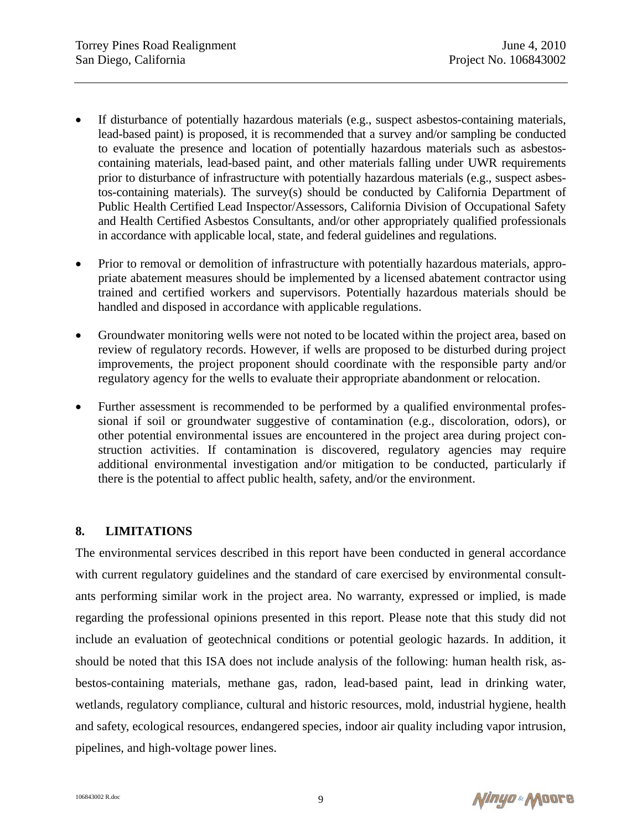- If disturbance of potentially hazardous materials (e.g., suspect asbestos-containing materials, lead-based paint) is proposed, it is recommended that a survey and/or sampling be conducted to evaluate the presence and location of potentially hazardous materials such as asbestoscontaining materials, lead-based paint, and other materials falling under UWR requirements prior to disturbance of infrastructure with potentially hazardous materials (e.g., suspect asbestos-containing materials). The survey(s) should be conducted by California Department of Public Health Certified Lead Inspector/Assessors, California Division of Occupational Safety and Health Certified Asbestos Consultants, and/or other appropriately qualified professionals in accordance with applicable local, state, and federal guidelines and regulations.
- Prior to removal or demolition of infrastructure with potentially hazardous materials, appropriate abatement measures should be implemented by a licensed abatement contractor using trained and certified workers and supervisors. Potentially hazardous materials should be handled and disposed in accordance with applicable regulations.
- Groundwater monitoring wells were not noted to be located within the project area, based on review of regulatory records. However, if wells are proposed to be disturbed during project improvements, the project proponent should coordinate with the responsible party and/or regulatory agency for the wells to evaluate their appropriate abandonment or relocation.
- Further assessment is recommended to be performed by a qualified environmental professional if soil or groundwater suggestive of contamination (e.g., discoloration, odors), or other potential environmental issues are encountered in the project area during project construction activities. If contamination is discovered, regulatory agencies may require additional environmental investigation and/or mitigation to be conducted, particularly if there is the potential to affect public health, safety, and/or the environment.

### **8. LIMITATIONS**

The environmental services described in this report have been conducted in general accordance with current regulatory guidelines and the standard of care exercised by environmental consultants performing similar work in the project area. No warranty, expressed or implied, is made regarding the professional opinions presented in this report. Please note that this study did not include an evaluation of geotechnical conditions or potential geologic hazards. In addition, it should be noted that this ISA does not include analysis of the following: human health risk, asbestos-containing materials, methane gas, radon, lead-based paint, lead in drinking water, wetlands, regulatory compliance, cultural and historic resources, mold, industrial hygiene, health and safety, ecological resources, endangered species, indoor air quality including vapor intrusion, pipelines, and high-voltage power lines.

Ninyo & Moore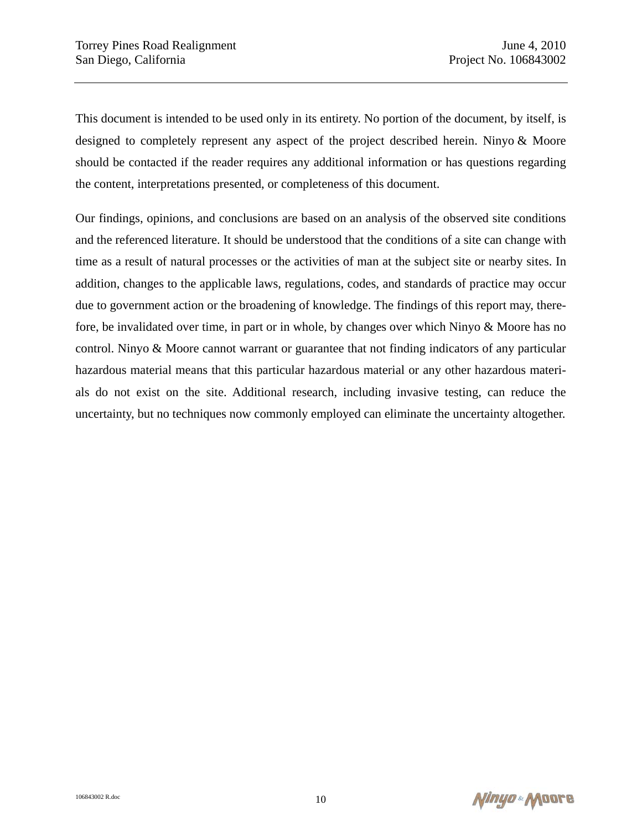This document is intended to be used only in its entirety. No portion of the document, by itself, is designed to completely represent any aspect of the project described herein. Ninyo & Moore should be contacted if the reader requires any additional information or has questions regarding the content, interpretations presented, or completeness of this document.

Our findings, opinions, and conclusions are based on an analysis of the observed site conditions and the referenced literature. It should be understood that the conditions of a site can change with time as a result of natural processes or the activities of man at the subject site or nearby sites. In addition, changes to the applicable laws, regulations, codes, and standards of practice may occur due to government action or the broadening of knowledge. The findings of this report may, therefore, be invalidated over time, in part or in whole, by changes over which Ninyo & Moore has no control. Ninyo & Moore cannot warrant or guarantee that not finding indicators of any particular hazardous material means that this particular hazardous material or any other hazardous materials do not exist on the site. Additional research, including invasive testing, can reduce the uncertainty, but no techniques now commonly employed can eliminate the uncertainty altogether.

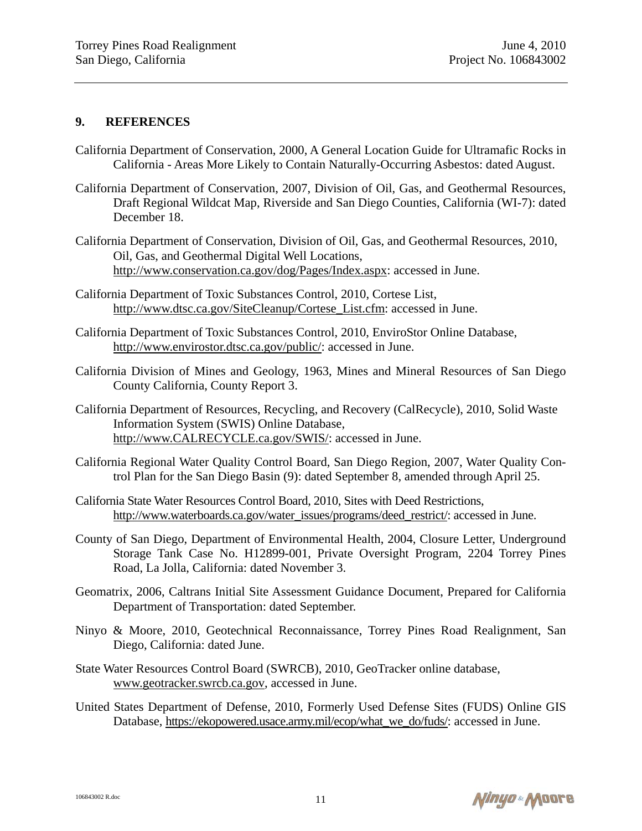### **9. REFERENCES**

- California Department of Conservation, 2000, A General Location Guide for Ultramafic Rocks in California - Areas More Likely to Contain Naturally-Occurring Asbestos: dated August.
- California Department of Conservation, 2007, Division of Oil, Gas, and Geothermal Resources, Draft Regional Wildcat Map, Riverside and San Diego Counties, California (WI-7): dated December 18.
- California Department of Conservation, Division of Oil, Gas, and Geothermal Resources, 2010, Oil, Gas, and Geothermal Digital Well Locations, http://www.conservation.ca.gov/dog/Pages/Index.aspx: accessed in June.
- California Department of Toxic Substances Control, 2010, Cortese List, http://www.dtsc.ca.gov/SiteCleanup/Cortese\_List.cfm: accessed in June.
- California Department of Toxic Substances Control, 2010, EnviroStor Online Database, http://www.envirostor.dtsc.ca.gov/public/: accessed in June.
- California Division of Mines and Geology, 1963, Mines and Mineral Resources of San Diego County California, County Report 3.
- California Department of Resources, Recycling, and Recovery (CalRecycle), 2010, Solid Waste Information System (SWIS) Online Database, http://www.CALRECYCLE.ca.gov/SWIS/: accessed in June.
- California Regional Water Quality Control Board, San Diego Region, 2007, Water Quality Control Plan for the San Diego Basin (9): dated September 8, amended through April 25.
- California State Water Resources Control Board, 2010, Sites with Deed Restrictions, http://www.waterboards.ca.gov/water\_issues/programs/deed\_restrict/: accessed in June.
- County of San Diego, Department of Environmental Health, 2004, Closure Letter, Underground Storage Tank Case No. H12899-001, Private Oversight Program, 2204 Torrey Pines Road, La Jolla, California: dated November 3.
- Geomatrix, 2006, Caltrans Initial Site Assessment Guidance Document, Prepared for California Department of Transportation: dated September.
- Ninyo & Moore, 2010, Geotechnical Reconnaissance, Torrey Pines Road Realignment, San Diego, California: dated June.
- State Water Resources Control Board (SWRCB), 2010, GeoTracker online database, www.geotracker.swrcb.ca.gov, accessed in June.
- United States Department of Defense, 2010, Formerly Used Defense Sites (FUDS) Online GIS Database, https://ekopowered.usace.army.mil/ecop/what\_we\_do/fuds/: accessed in June.

Ninyo & Moore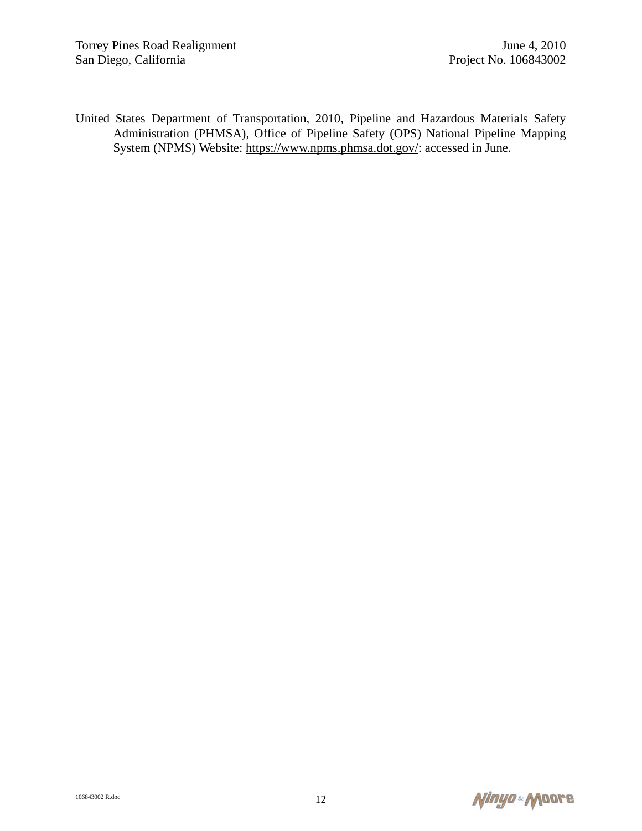United States Department of Transportation, 2010, Pipeline and Hazardous Materials Safety Administration (PHMSA), Office of Pipeline Safety (OPS) National Pipeline Mapping System (NPMS) Website: https://www.npms.phmsa.dot.gov/: accessed in June.